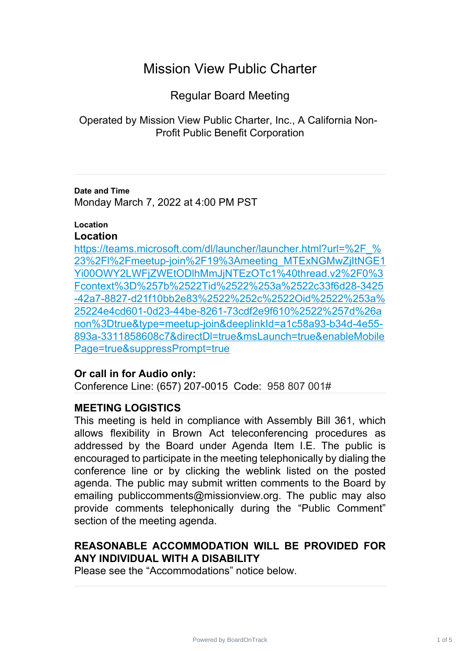# Mission View Public Charter

Regular Board Meeting

Operated by Mission View Public Charter, Inc., A California Non-Profit Public Benefit Corporation

**Date and Time** Monday March 7, 2022 at 4:00 PM PST

### **Location**

### **Location**

https://teams.microsoft.com/dl/launcher/launcher.html?url=%2F % 23%2Fl%2Fmeetup-join%2F19%3Ameeting\_MTExNGMwZjItNGE1 [Yi00OWY2LWFjZWEtODlhMmJjNTEzOTc1%40thread.v2%2F0%3](https://teams.microsoft.com/dl/launcher/launcher.html?url=%2F_%23%2Fl%2Fmeetup-join%2F19%3Ameeting_MTExNGMwZjItNGE1Yi00OWY2LWFjZWEtODlhMmJjNTEzOTc1%40thread.v2%2F0%3Fcontext%3D%257b%2522Tid%2522%253a%2522c33f6d28-3425-42a7-8827-d21f10bb2e83%2522%252c%2522Oid%2522%253a%25224e4cd601-0d23-44be-8261-73cdf2e9f610%2522%257d%26anon%3Dtrue&type=meetup-join&deeplinkId=a1c58a93-b34d-4e55-893a-3311858608c7&directDl=true&msLaunch=true&enableMobilePage=true&suppressPrompt=true) Fcontext%3D%257b%2522Tid%2522%253a%2522c33f6d28-3425 [-42a7-8827-d21f10bb2e83%2522%252c%2522Oid%2522%253a%](https://teams.microsoft.com/dl/launcher/launcher.html?url=%2F_%23%2Fl%2Fmeetup-join%2F19%3Ameeting_MTExNGMwZjItNGE1Yi00OWY2LWFjZWEtODlhMmJjNTEzOTc1%40thread.v2%2F0%3Fcontext%3D%257b%2522Tid%2522%253a%2522c33f6d28-3425-42a7-8827-d21f10bb2e83%2522%252c%2522Oid%2522%253a%25224e4cd601-0d23-44be-8261-73cdf2e9f610%2522%257d%26anon%3Dtrue&type=meetup-join&deeplinkId=a1c58a93-b34d-4e55-893a-3311858608c7&directDl=true&msLaunch=true&enableMobilePage=true&suppressPrompt=true) 25224e4cd601-0d23-44be-8261-73cdf2e9f610%2522%257d%26a [non%3Dtrue&type=meetup-join&deeplinkId=a1c58a93-b34d-4e55-](https://teams.microsoft.com/dl/launcher/launcher.html?url=%2F_%23%2Fl%2Fmeetup-join%2F19%3Ameeting_MTExNGMwZjItNGE1Yi00OWY2LWFjZWEtODlhMmJjNTEzOTc1%40thread.v2%2F0%3Fcontext%3D%257b%2522Tid%2522%253a%2522c33f6d28-3425-42a7-8827-d21f10bb2e83%2522%252c%2522Oid%2522%253a%25224e4cd601-0d23-44be-8261-73cdf2e9f610%2522%257d%26anon%3Dtrue&type=meetup-join&deeplinkId=a1c58a93-b34d-4e55-893a-3311858608c7&directDl=true&msLaunch=true&enableMobilePage=true&suppressPrompt=true) 893a-3311858608c7&directDl=true&msLaunch=true&enableMobile [Page=true&suppressPrompt=true](https://teams.microsoft.com/dl/launcher/launcher.html?url=%2F_%23%2Fl%2Fmeetup-join%2F19%3Ameeting_MTExNGMwZjItNGE1Yi00OWY2LWFjZWEtODlhMmJjNTEzOTc1%40thread.v2%2F0%3Fcontext%3D%257b%2522Tid%2522%253a%2522c33f6d28-3425-42a7-8827-d21f10bb2e83%2522%252c%2522Oid%2522%253a%25224e4cd601-0d23-44be-8261-73cdf2e9f610%2522%257d%26anon%3Dtrue&type=meetup-join&deeplinkId=a1c58a93-b34d-4e55-893a-3311858608c7&directDl=true&msLaunch=true&enableMobilePage=true&suppressPrompt=true)

# **Or call in for Audio only:**

Conference Line: (657) 207-0015 Code: 958 807 001#

# **MEETING LOGISTICS**

This meeting is held in compliance with Assembly Bill 361, which allows flexibility in Brown Act teleconferencing procedures as addressed by the Board under Agenda Item I.E. The public is encouraged to participate in the meeting telephonically by dialing the conference line or by clicking the weblink listed on the posted agenda. The public may submit written comments to the Board by emailing publiccomments@missionview.org. The public may also provide comments telephonically during the "Public Comment" section of the meeting agenda.

# **REASONABLE ACCOMMODATION WILL BE PROVIDED FOR ANY INDIVIDUAL WITH A DISABILITY**

Please see the "Accommodations" notice below.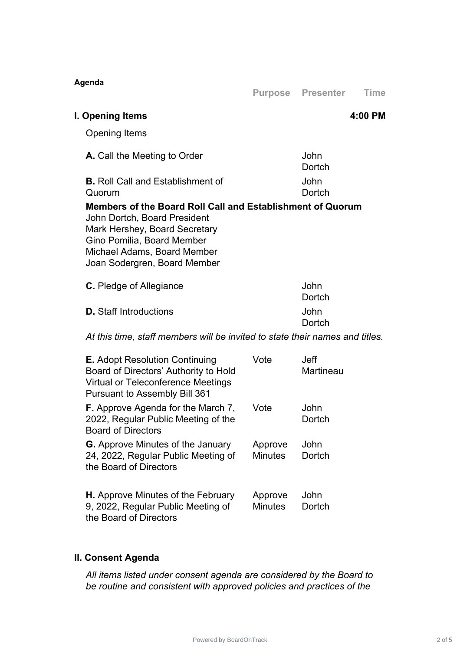| Agenda                                                                                                                                                                                                                   |                           | <b>Purpose Presenter</b> | <b>Time</b> |
|--------------------------------------------------------------------------------------------------------------------------------------------------------------------------------------------------------------------------|---------------------------|--------------------------|-------------|
| I. Opening Items                                                                                                                                                                                                         |                           |                          | 4:00 PM     |
| <b>Opening Items</b>                                                                                                                                                                                                     |                           |                          |             |
| A. Call the Meeting to Order                                                                                                                                                                                             |                           | John<br><b>Dortch</b>    |             |
| <b>B.</b> Roll Call and Establishment of<br>Quorum                                                                                                                                                                       |                           | John<br>Dortch           |             |
| Members of the Board Roll Call and Establishment of Quorum<br>John Dortch, Board President<br>Mark Hershey, Board Secretary<br>Gino Pomilia, Board Member<br>Michael Adams, Board Member<br>Joan Sodergren, Board Member |                           |                          |             |
| <b>C.</b> Pledge of Allegiance                                                                                                                                                                                           |                           | John<br>Dortch           |             |
| <b>D.</b> Staff Introductions                                                                                                                                                                                            |                           | John<br>Dortch           |             |
| At this time, staff members will be invited to state their names and titles.                                                                                                                                             |                           |                          |             |
| <b>E.</b> Adopt Resolution Continuing<br>Board of Directors' Authority to Hold<br>Virtual or Teleconference Meetings<br><b>Pursuant to Assembly Bill 361</b>                                                             | Vote                      | <b>Jeff</b><br>Martineau |             |
| <b>F.</b> Approve Agenda for the March 7,<br>2022, Regular Public Meeting of the<br><b>Board of Directors</b>                                                                                                            | Vote                      | John<br>Dortch           |             |
| <b>G.</b> Approve Minutes of the January<br>24, 2022, Regular Public Meeting of<br>the Board of Directors                                                                                                                | Approve<br><b>Minutes</b> | John<br>Dortch           |             |
| <b>H.</b> Approve Minutes of the February<br>9, 2022, Regular Public Meeting of<br>the Board of Directors                                                                                                                | Approve<br><b>Minutes</b> | John<br>Dortch           |             |

# **II. Consent Agenda**

*All items listed under consent agenda are considered by the Board to be routine and consistent with approved policies and practices of the*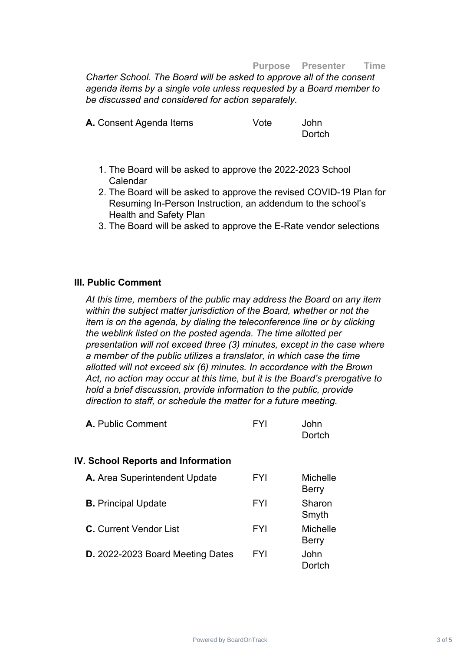#### **Purpose Presenter Time**

*Charter School. The Board will be asked to approve all of the consent agenda items by a single vote unless requested by a Board member to be discussed and considered for action separately.*

| A. Consent Agenda Items | Vote | John   |
|-------------------------|------|--------|
|                         |      | Dortch |

- 1. The Board will be asked to approve the 2022-2023 School Calendar
- 2. The Board will be asked to approve the revised COVID-19 Plan for Resuming In-Person Instruction, an addendum to the school's Health and Safety Plan
- 3. The Board will be asked to approve the E-Rate vendor selections

### **III. Public Comment**

*At this time, members of the public may address the Board on any item within the subject matter jurisdiction of the Board, whether or not the item is on the agenda, by dialing the teleconference line or by clicking the weblink listed on the posted agenda. The time allotted per presentation will not exceed three (3) minutes, except in the case where a member of the public utilizes a translator, in which case the time allotted will not exceed six (6) minutes. In accordance with the Brown Act, no action may occur at this time, but it is the Board's prerogative to hold a brief discussion, provide information to the public, provide direction to staff, or schedule the matter for a future meeting.*

| A. Public Comment | FYI | John   |
|-------------------|-----|--------|
|                   |     | Dortch |

#### **IV. School Reports and Information**

| A. Area Superintendent Update    | <b>FYI</b> | <b>Michelle</b><br><b>Berry</b> |
|----------------------------------|------------|---------------------------------|
| <b>B.</b> Principal Update       | <b>FYI</b> | Sharon<br>Smyth                 |
| <b>C.</b> Current Vendor List    | <b>FYI</b> | <b>Michelle</b><br><b>Berry</b> |
| D. 2022-2023 Board Meeting Dates | <b>FYI</b> | John<br>Dortch                  |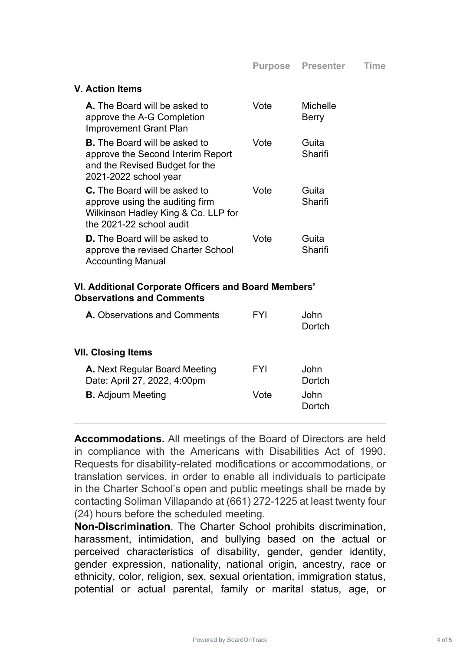### **V. Action Items**

| <b>A.</b> The Board will be asked to<br>approve the A-G Completion<br><b>Improvement Grant Plan</b>                                        | Vote | Michelle<br>Berry |
|--------------------------------------------------------------------------------------------------------------------------------------------|------|-------------------|
| <b>B</b> . The Board will be asked to<br>approve the Second Interim Report<br>and the Revised Budget for the<br>2021-2022 school year      | Vote | Guita<br>Sharifi  |
| <b>C.</b> The Board will be asked to<br>approve using the auditing firm<br>Wilkinson Hadley King & Co. LLP for<br>the 2021-22 school audit | Vote | Guita<br>Sharifi  |
| <b>D.</b> The Board will be asked to<br>approve the revised Charter School<br><b>Accounting Manual</b>                                     | Vote | Guita<br>Sharifi  |

### **VI. Additional Corporate Officers and Board Members' Observations and Comments**

| <b>A.</b> Observations and Comments                           | FYI  | .John<br>Dortch |
|---------------------------------------------------------------|------|-----------------|
| VII. Closing Items                                            |      |                 |
| A. Next Regular Board Meeting<br>Date: April 27, 2022, 4:00pm | FYI  | John<br>Dortch  |
| <b>B.</b> Adjourn Meeting                                     | Vote | John<br>Dortch  |
|                                                               |      |                 |

**Accommodations.** All meetings of the Board of Directors are held in compliance with the Americans with Disabilities Act of 1990. Requests for disability-related modifications or accommodations, or translation services, in order to enable all individuals to participate in the Charter School's open and public meetings shall be made by contacting Soliman Villapando at (661) 272-1225 at least twenty four (24) hours before the scheduled meeting.

**Non-Discrimination**. The Charter School prohibits discrimination, harassment, intimidation, and bullying based on the actual or perceived characteristics of disability, gender, gender identity, gender expression, nationality, national origin, ancestry, race or ethnicity, color, religion, sex, sexual orientation, immigration status, potential or actual parental, family or marital status, age, or